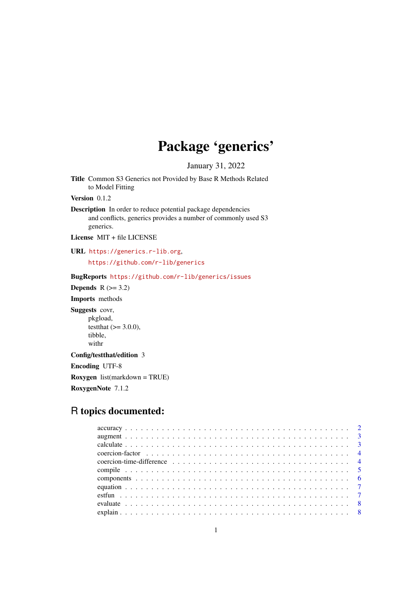# Package 'generics'

January 31, 2022

<span id="page-0-0"></span>Title Common S3 Generics not Provided by Base R Methods Related to Model Fitting

Version 0.1.2

Description In order to reduce potential package dependencies and conflicts, generics provides a number of commonly used S3 generics.

License MIT + file LICENSE

URL <https://generics.r-lib.org>,

<https://github.com/r-lib/generics>

# BugReports <https://github.com/r-lib/generics/issues>

**Depends**  $R$  ( $>= 3.2$ )

Imports methods

Suggests covr,

pkgload, testthat  $(>= 3.0.0)$ , tibble, withr

Config/testthat/edition 3

Encoding UTF-8

Roxygen list(markdown = TRUE)

RoxygenNote 7.1.2

# R topics documented: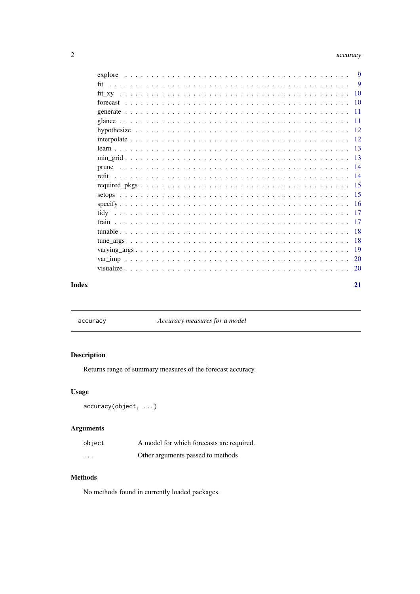#### <span id="page-1-0"></span>2 accuracy and  $\alpha$  accuracy accuracy accuracy accuracy accuracy accuracy accuracy

| 9         |
|-----------|
| 9         |
|           |
|           |
|           |
|           |
|           |
|           |
|           |
|           |
|           |
|           |
|           |
|           |
|           |
|           |
|           |
| $-18$     |
| <b>18</b> |
|           |
| 20        |
| 20        |
|           |

#### **Index** [21](#page-20-0)

accuracy *Accuracy measures for a model*

# Description

Returns range of summary measures of the forecast accuracy.

## Usage

```
accuracy(object, ...)
```
# Arguments

| object   | A model for which forecasts are required. |
|----------|-------------------------------------------|
| $\cdots$ | Other arguments passed to methods         |

# Methods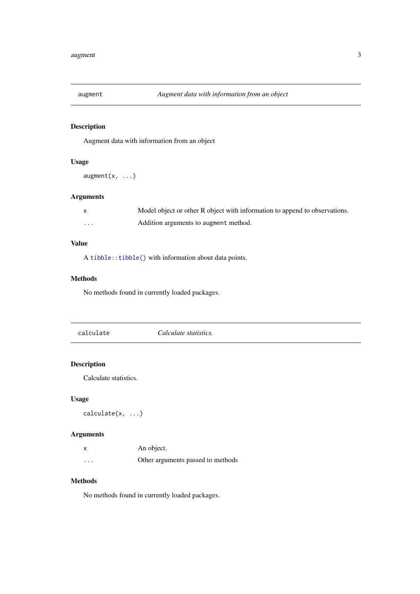<span id="page-2-0"></span>

Augment data with information from an object

# Usage

```
augment(x, \ldots)
```
# Arguments

|          | Model object or other R object with information to append to observations. |
|----------|----------------------------------------------------------------------------|
| $\cdots$ | Addition arguments to augment method.                                      |

# Value

A [tibble::tibble\(\)](#page-0-0) with information about data points.

## Methods

No methods found in currently loaded packages.

calculate *Calculate statistics.*

## Description

Calculate statistics.

# Usage

calculate(x, ...)

## Arguments

|          | An object.                        |
|----------|-----------------------------------|
| $\cdots$ | Other arguments passed to methods |

## Methods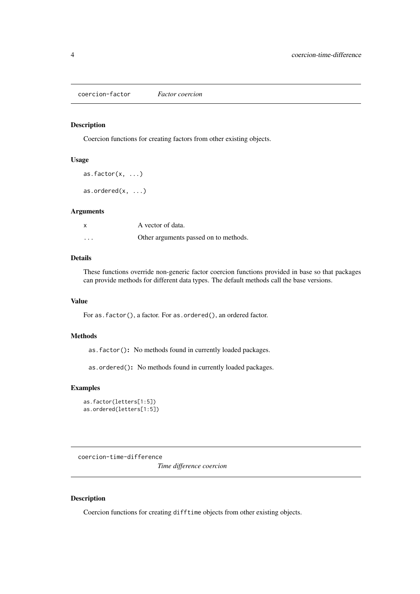<span id="page-3-0"></span>coercion-factor *Factor coercion*

## Description

Coercion functions for creating factors from other existing objects.

## Usage

as.factor $(x, \ldots)$ as.ordered $(x, \ldots)$ 

## Arguments

|          | A vector of data.                     |
|----------|---------------------------------------|
| $\cdots$ | Other arguments passed on to methods. |

## Details

These functions override non-generic factor coercion functions provided in base so that packages can provide methods for different data types. The default methods call the base versions.

## Value

For as.factor(), a factor. For as.ordered(), an ordered factor.

# Methods

as.factor(): No methods found in currently loaded packages.

as.ordered(): No methods found in currently loaded packages.

## Examples

```
as.factor(letters[1:5])
as.ordered(letters[1:5])
```
<span id="page-3-1"></span>coercion-time-difference

*Time difference coercion*

## Description

Coercion functions for creating difftime objects from other existing objects.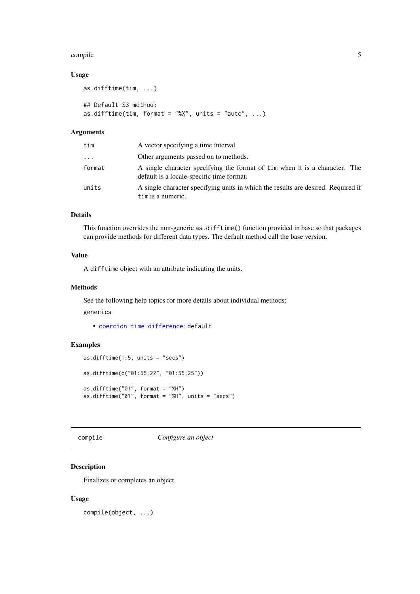#### <span id="page-4-0"></span>compile 5

## Usage

```
as.difftime(tim, ...)
## Default S3 method:
as.difftime(tim, format = "%X'', units = "auto", ...)
```
## Arguments

| tim      | A vector specifying a time interval.                                                                                     |  |
|----------|--------------------------------------------------------------------------------------------------------------------------|--|
| $\cdots$ | Other arguments passed on to methods.                                                                                    |  |
| format   | A single character specifying the format of tim when it is a character. The<br>default is a locale-specific time format. |  |
| units    | A single character specifying units in which the results are desired. Required if<br>tim is a numeric.                   |  |

# Details

This function overrides the non-generic as.difftime() function provided in base so that packages can provide methods for different data types. The default method call the base version.

#### Value

A difftime object with an attribute indicating the units.

## Methods

See the following help topics for more details about individual methods:

generics

• [coercion-time-difference](#page-3-1): default

## Examples

```
as.difftime(1:5, units = "secs")
as.difftime(c("01:55:22", "01:55:25"))
as.difftime("01", format = "%H")
as.difftime("01", format = "%H", units = "secs")
```
compile *Configure an object*

## Description

Finalizes or completes an object.

## Usage

compile(object, ...)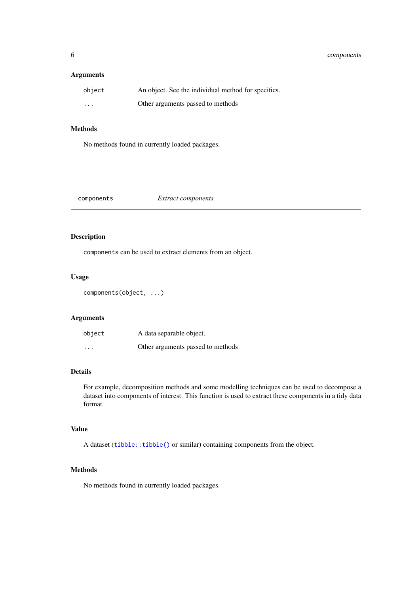## <span id="page-5-0"></span>Arguments

| object   | An object. See the individual method for specifics. |
|----------|-----------------------------------------------------|
| $\cdots$ | Other arguments passed to methods                   |

# Methods

No methods found in currently loaded packages.

components *Extract components*

# Description

components can be used to extract elements from an object.

## Usage

```
components(object, ...)
```
## Arguments

| object                  | A data separable object.          |
|-------------------------|-----------------------------------|
| $\cdot$ $\cdot$ $\cdot$ | Other arguments passed to methods |

## Details

For example, decomposition methods and some modelling techniques can be used to decompose a dataset into components of interest. This function is used to extract these components in a tidy data format.

# Value

A dataset ([tibble::tibble\(\)](#page-0-0) or similar) containing components from the object.

## Methods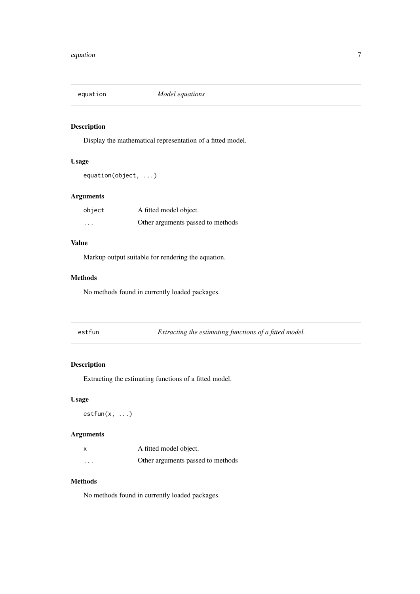<span id="page-6-0"></span>

Display the mathematical representation of a fitted model.

## Usage

```
equation(object, ...)
```
# Arguments

| object   | A fitted model object.            |
|----------|-----------------------------------|
| $\cdots$ | Other arguments passed to methods |

# Value

Markup output suitable for rendering the equation.

## Methods

No methods found in currently loaded packages.

estfun *Extracting the estimating functions of a fitted model.*

## Description

Extracting the estimating functions of a fitted model.

# Usage

 $estfun(x, \ldots)$ 

## Arguments

|          | A fitted model object.            |
|----------|-----------------------------------|
| $\cdots$ | Other arguments passed to methods |

## Methods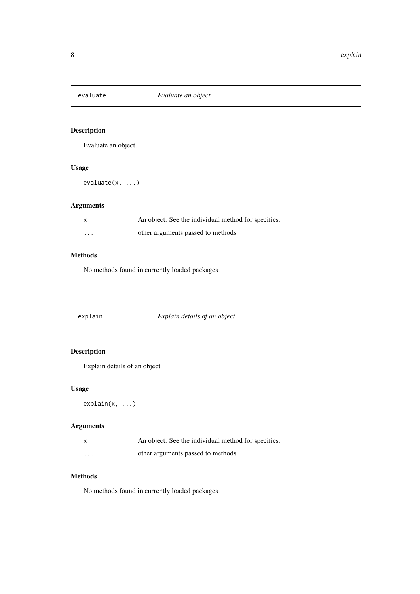<span id="page-7-0"></span>

Evaluate an object.

## Usage

evaluate(x, ...)

# Arguments

| X        | An object. See the individual method for specifics. |
|----------|-----------------------------------------------------|
| $\cdots$ | other arguments passed to methods                   |

## Methods

No methods found in currently loaded packages.

| explain |  |
|---------|--|
|         |  |
|         |  |
|         |  |

explain *Explain details of an object*

# Description

Explain details of an object

# Usage

explain(x, ...)

# Arguments

|          | An object. See the individual method for specifics. |
|----------|-----------------------------------------------------|
| $\cdots$ | other arguments passed to methods                   |

# Methods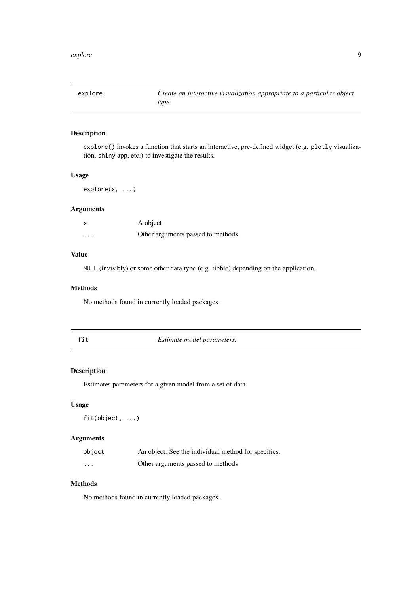<span id="page-8-0"></span>

| explore | Create an interactive visualization appropriate to a particular object<br>type |
|---------|--------------------------------------------------------------------------------|
|         |                                                                                |

explore() invokes a function that starts an interactive, pre-defined widget (e.g. plotly visualization, shiny app, etc.) to investigate the results.

## Usage

explore(x, ...)

## Arguments

| X        | A object                          |
|----------|-----------------------------------|
| $\cdots$ | Other arguments passed to methods |

## Value

NULL (invisibly) or some other data type (e.g. tibble) depending on the application.

## Methods

No methods found in currently loaded packages.

| I<br>۰ |         |
|--------|---------|
|        | ۰.<br>× |

 $Estimate model parameters.$ 

## Description

Estimates parameters for a given model from a set of data.

## Usage

fit(object, ...)

# Arguments

| object   | An object. See the individual method for specifics. |
|----------|-----------------------------------------------------|
| $\cdots$ | Other arguments passed to methods                   |

# Methods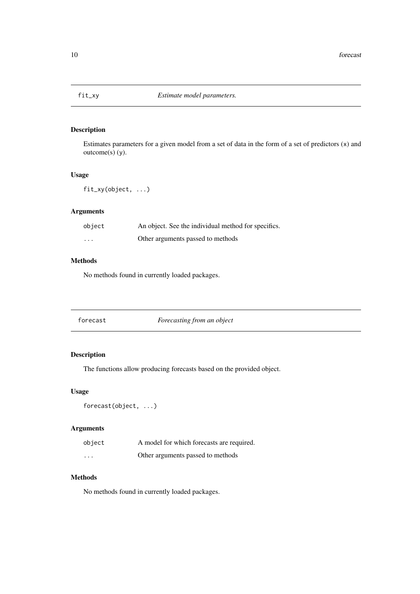<span id="page-9-0"></span>

Estimates parameters for a given model from a set of data in the form of a set of predictors (x) and outcome(s) (y).

# Usage

fit\_xy(object, ...)

## Arguments

| object   | An object. See the individual method for specifics. |
|----------|-----------------------------------------------------|
| $\cdots$ | Other arguments passed to methods                   |

# Methods

No methods found in currently loaded packages.

forecast *Forecasting from an object*

# Description

The functions allow producing forecasts based on the provided object.

# Usage

```
forecast(object, ...)
```
# Arguments

| object   | A model for which forecasts are required. |
|----------|-------------------------------------------|
| $\cdots$ | Other arguments passed to methods         |

# Methods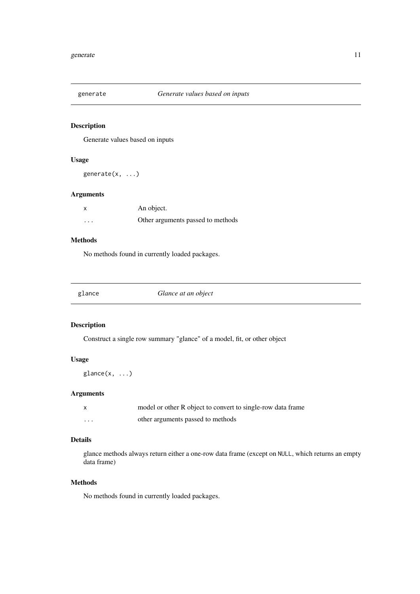<span id="page-10-0"></span>

Generate values based on inputs

## Usage

generate(x, ...)

## Arguments

| x        | An object.                        |
|----------|-----------------------------------|
| $\cdots$ | Other arguments passed to methods |

# Methods

No methods found in currently loaded packages.

| Glance at an object<br>glance |  |  |  |
|-------------------------------|--|--|--|
|-------------------------------|--|--|--|

# Description

Construct a single row summary "glance" of a model, fit, or other object

# Usage

glance(x, ...)

# Arguments

|          | model or other R object to convert to single-row data frame |
|----------|-------------------------------------------------------------|
| $\cdots$ | other arguments passed to methods                           |

# Details

glance methods always return either a one-row data frame (except on NULL, which returns an empty data frame)

## Methods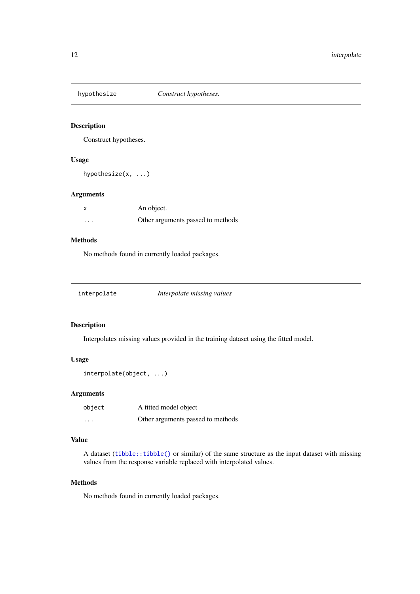<span id="page-11-0"></span>

Construct hypotheses.

## Usage

hypothesize(x, ...)

## Arguments

| X        | An object.                        |
|----------|-----------------------------------|
| $\cdots$ | Other arguments passed to methods |

# Methods

No methods found in currently loaded packages.

| interpolate | Interpolate missing values |
|-------------|----------------------------|
|-------------|----------------------------|

## Description

Interpolates missing values provided in the training dataset using the fitted model.

# Usage

```
interpolate(object, ...)
```
#### Arguments

| object   | A fitted model object             |
|----------|-----------------------------------|
| $\cdots$ | Other arguments passed to methods |

## Value

A dataset ([tibble::tibble\(\)](#page-0-0) or similar) of the same structure as the input dataset with missing values from the response variable replaced with interpolated values.

## Methods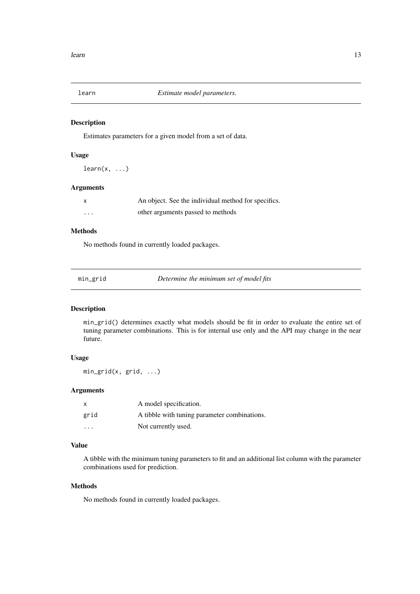<span id="page-12-0"></span>

Estimates parameters for a given model from a set of data.

# Usage

 $learn(x, ...)$ 

## Arguments

| X        | An object. See the individual method for specifics. |
|----------|-----------------------------------------------------|
| $\cdots$ | other arguments passed to methods                   |

# Methods

No methods found in currently loaded packages.

| min_grid | Determine the minimum set of model fits |  |
|----------|-----------------------------------------|--|
|          |                                         |  |

## Description

min\_grid() determines exactly what models should be fit in order to evaluate the entire set of tuning parameter combinations. This is for internal use only and the API may change in the near future.

## Usage

min\_grid(x, grid, ...)

## Arguments

| $\mathsf{x}$            | A model specification.                       |
|-------------------------|----------------------------------------------|
| grid                    | A tibble with tuning parameter combinations. |
| $\cdot$ $\cdot$ $\cdot$ | Not currently used.                          |

## Value

A tibble with the minimum tuning parameters to fit and an additional list column with the parameter combinations used for prediction.

## Methods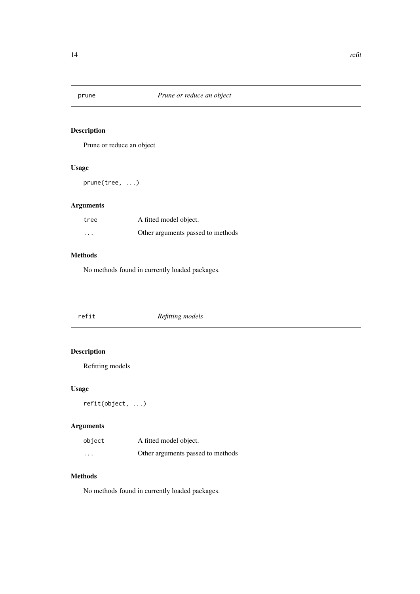<span id="page-13-0"></span>

Prune or reduce an object

# Usage

prune(tree, ...)

# Arguments

| tree     | A fitted model object.            |
|----------|-----------------------------------|
| $\cdots$ | Other arguments passed to methods |

# Methods

No methods found in currently loaded packages.

| refit | Refitting models |  |
|-------|------------------|--|
|       |                  |  |

# Description

Refitting models

# Usage

refit(object, ...)

# Arguments

| object   | A fitted model object.            |
|----------|-----------------------------------|
| $\cdots$ | Other arguments passed to methods |

# Methods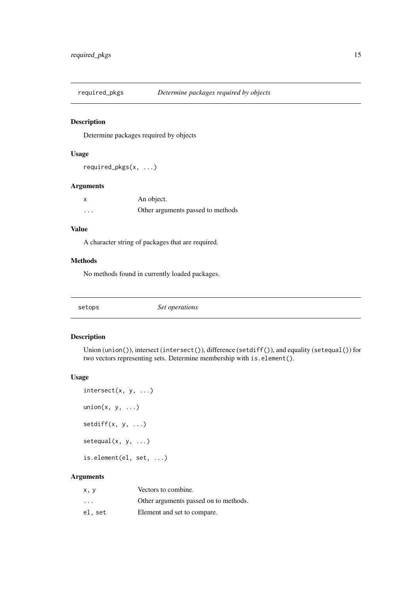<span id="page-14-0"></span>

Determine packages required by objects

# Usage

required\_pkgs(x, ...)

## Arguments

| $\boldsymbol{\mathsf{x}}$ | An object.                        |
|---------------------------|-----------------------------------|
| $\cdots$                  | Other arguments passed to methods |

# Value

A character string of packages that are required.

## Methods

No methods found in currently loaded packages.

| Set operations |
|----------------|
|----------------|

# Description

Union (union()), intersect (intersect()), difference (setdiff()), and equality (setequal()) for two vectors representing sets. Determine membership with is.element().

## Usage

```
intersect(x, y, ...)union(x, y, \ldots)setdiff(x, y, ...)setequal(x, y, ...)is.element(el, set, ...)
```
## Arguments

| x, y                    | Vectors to combine.                   |
|-------------------------|---------------------------------------|
| $\cdot$ $\cdot$ $\cdot$ | Other arguments passed on to methods. |
| el, set                 | Element and set to compare.           |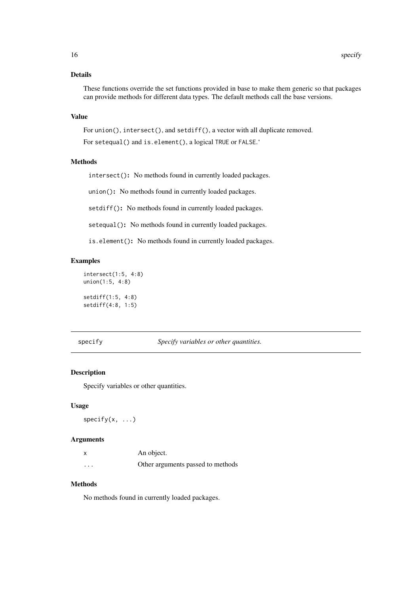## <span id="page-15-0"></span>Details

These functions override the set functions provided in base to make them generic so that packages can provide methods for different data types. The default methods call the base versions.

## Value

For union(), intersect(), and setdiff(), a vector with all duplicate removed.

For setequal() and is.element(), a logical TRUE or FALSE.'

## Methods

intersect(): No methods found in currently loaded packages.

union(): No methods found in currently loaded packages.

setdiff(): No methods found in currently loaded packages.

setequal(): No methods found in currently loaded packages.

is.element(): No methods found in currently loaded packages.

## Examples

```
intersect(1:5, 4:8)
union(1:5, 4:8)
setdiff(1:5, 4:8)
setdiff(4:8, 1:5)
```
specify *Specify variables or other quantities.*

## Description

Specify variables or other quantities.

## Usage

 $specify(x, \ldots)$ 

## Arguments

| X        | An object.                        |
|----------|-----------------------------------|
| $\cdots$ | Other arguments passed to methods |

## Methods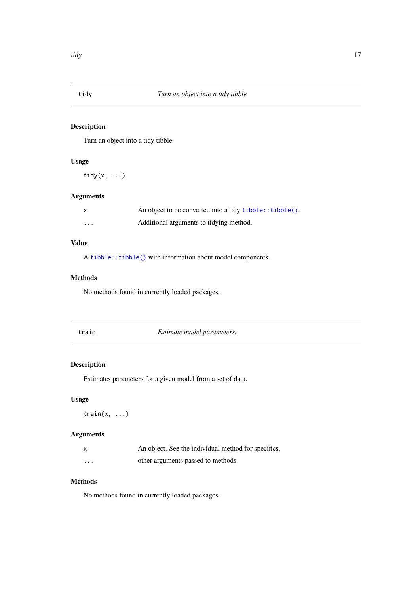<span id="page-16-0"></span>

Turn an object into a tidy tibble

# Usage

tidy $(x, \ldots)$ 

## Arguments

| X       | An object to be converted into a tidy tibble:: tibble(). |
|---------|----------------------------------------------------------|
| $\cdot$ | Additional arguments to tidying method.                  |

# Value

A [tibble::tibble\(\)](#page-0-0) with information about model components.

# Methods

No methods found in currently loaded packages.

train *Estimate model parameters.*

# Description

Estimates parameters for a given model from a set of data.

# Usage

train $(x, \ldots)$ 

## Arguments

| $\boldsymbol{\mathsf{x}}$ | An object. See the individual method for specifics. |
|---------------------------|-----------------------------------------------------|
| $\cdots$                  | other arguments passed to methods                   |

## Methods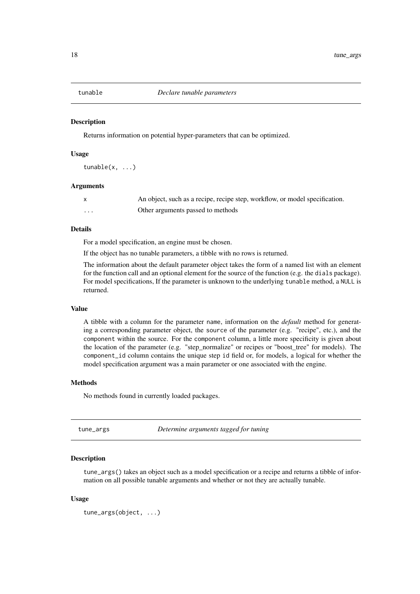<span id="page-17-0"></span>

Returns information on potential hyper-parameters that can be optimized.

## Usage

tunable(x, ...)

#### Arguments

|   | An object, such as a recipe, recipe step, workflow, or model specification. |
|---|-----------------------------------------------------------------------------|
| . | Other arguments passed to methods                                           |

# Details

For a model specification, an engine must be chosen.

If the object has no tunable parameters, a tibble with no rows is returned.

The information about the default parameter object takes the form of a named list with an element for the function call and an optional element for the source of the function (e.g. the dials package). For model specifications, If the parameter is unknown to the underlying tunable method, a NULL is returned.

#### Value

A tibble with a column for the parameter name, information on the *default* method for generating a corresponding parameter object, the source of the parameter (e.g. "recipe", etc.), and the component within the source. For the component column, a little more specificity is given about the location of the parameter (e.g. "step\_normalize" or recipes or "boost\_tree" for models). The component\_id column contains the unique step id field or, for models, a logical for whether the model specification argument was a main parameter or one associated with the engine.

## Methods

No methods found in currently loaded packages.

tune\_args *Determine arguments tagged for tuning*

#### Description

tune\_args() takes an object such as a model specification or a recipe and returns a tibble of information on all possible tunable arguments and whether or not they are actually tunable.

## Usage

```
tune_args(object, ...)
```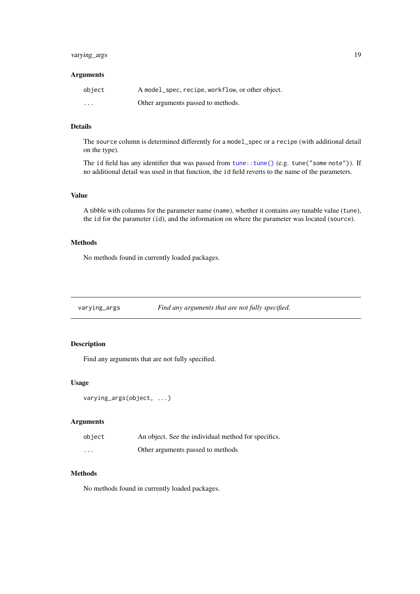#### <span id="page-18-0"></span>varying\_args 19

## Arguments

| object   | A model_spec, recipe, workflow, or other object. |
|----------|--------------------------------------------------|
| $\cdots$ | Other arguments passed to methods.               |

## Details

The source column is determined differently for a model\_spec or a recipe (with additional detail on the type).

The id field has any identifier that was passed from [tune::tune\(\)](#page-0-0) (e.g. tune("some note")). If no additional detail was used in that function, the id field reverts to the name of the parameters.

## Value

A tibble with columns for the parameter name (name), whether it contains *any* tunable value (tune), the id for the parameter (id), and the information on where the parameter was located (source).

## Methods

No methods found in currently loaded packages.

varying\_args *Find any arguments that are not fully specified.*

## Description

Find any arguments that are not fully specified.

# Usage

```
varying_args(object, ...)
```
## Arguments

| object   | An object. See the individual method for specifics. |
|----------|-----------------------------------------------------|
| $\cdots$ | Other arguments passed to methods                   |

#### Methods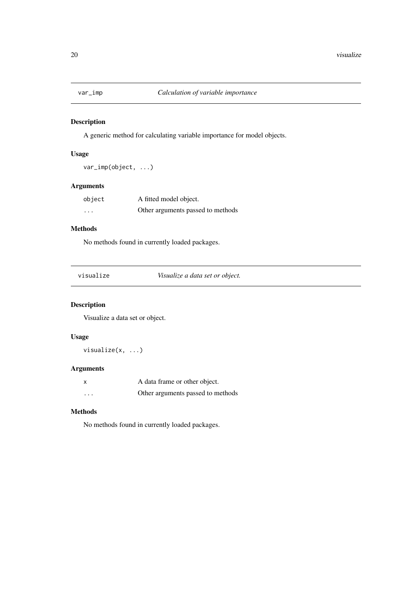<span id="page-19-0"></span>

A generic method for calculating variable importance for model objects.

# Usage

```
var_imp(object, ...)
```
## Arguments

| object   | A fitted model object.            |  |
|----------|-----------------------------------|--|
| $\cdots$ | Other arguments passed to methods |  |

# Methods

No methods found in currently loaded packages.

| visualize | Visualize a data set or object. |  |
|-----------|---------------------------------|--|
|-----------|---------------------------------|--|

# Description

Visualize a data set or object.

# Usage

visualize(x, ...)

# Arguments

| X        | A data frame or other object.     |  |
|----------|-----------------------------------|--|
| $\cdots$ | Other arguments passed to methods |  |

## Methods